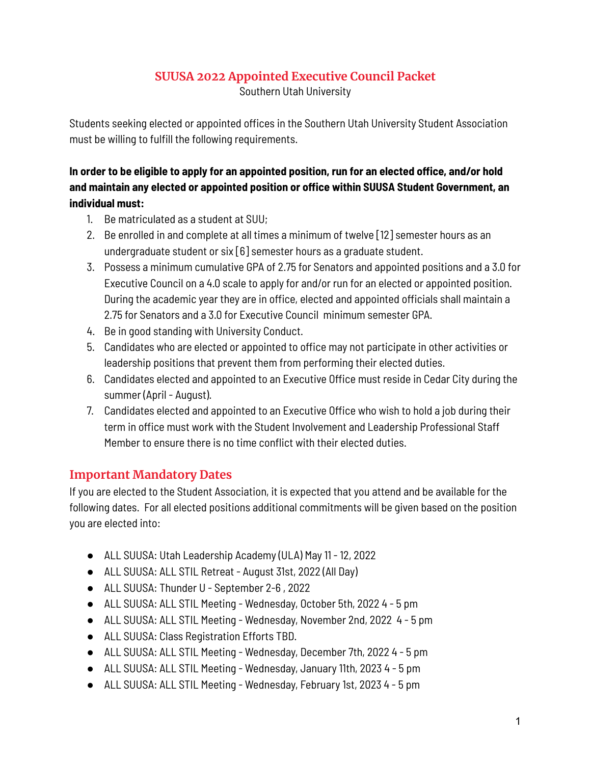# **SUUSA 2022 Appointed Executive Council Packet**

Southern Utah University

Students seeking elected or appointed offices in the Southern Utah University Student Association must be willing to fulfill the following requirements.

### **In order to be eligible to apply for an appointed position, run for an elected office, and/or hold and maintain any elected or appointed position or office within SUUSA Student Government, an individual must:**

- 1. Be matriculated as a student at SUU;
- 2. Be enrolled in and complete at all times a minimum of twelve [12] semester hours as an undergraduate student or six [6] semester hours as a graduate student.
- 3. Possess a minimum cumulative GPA of 2.75 for Senators and appointed positions and a 3.0 for Executive Council on a 4.0 scale to apply for and/or run for an elected or appointed position. During the academic year they are in office, elected and appointed officials shall maintain a 2.75 for Senators and a 3.0 for Executive Council minimum semester GPA.
- 4. Be in good standing with University Conduct.
- 5. Candidates who are elected or appointed to office may not participate in other activities or leadership positions that prevent them from performing their elected duties.
- 6. Candidates elected and appointed to an Executive Office must reside in Cedar City during the summer (April - August).
- 7. Candidates elected and appointed to an Executive Office who wish to hold a job during their term in office must work with the Student Involvement and Leadership Professional Staff Member to ensure there is no time conflict with their elected duties.

### **Important Mandatory Dates**

If you are elected to the Student Association, it is expected that you attend and be available for the following dates. For all elected positions additional commitments will be given based on the position you are elected into:

- ALL SUUSA: Utah Leadership Academy (ULA) May 11 12, 2022
- ALL SUUSA: ALL STIL Retreat August 31st, 2022 (All Day)
- ALL SUUSA: Thunder U September 2-6, 2022
- ALL SUUSA: ALL STIL Meeting Wednesday, October 5th, 2022 4 5 pm
- ALL SUUSA: ALL STIL Meeting Wednesday, November 2nd, 2022 4 5 pm
- ALL SUUSA: Class Registration Efforts TBD.
- ALL SUUSA: ALL STIL Meeting Wednesday, December 7th, 2022 4 5 pm
- ALL SUUSA: ALL STIL Meeting Wednesday, January 11th, 2023 4 5 pm
- ALL SUUSA: ALL STIL Meeting Wednesday, February 1st, 2023 4 5 pm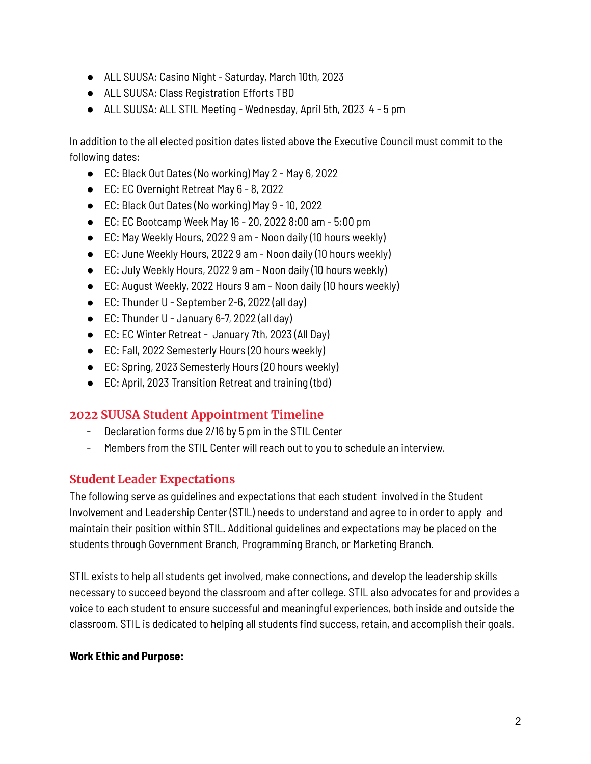- ALL SUUSA: Casino Night Saturday, March 10th, 2023
- ALL SUUSA: Class Registration Efforts TBD
- ALL SUUSA: ALL STIL Meeting Wednesday, April 5th, 2023 4 5 pm

In addition to the all elected position dates listed above the Executive Council must commit to the following dates:

- EC: Black Out Dates (No working) May 2 May 6, 2022
- EC: EC Overnight Retreat May 6 8, 2022
- EC: Black Out Dates (No working) May 9 10, 2022
- EC: EC Bootcamp Week May 16 20, 2022 8:00 am 5:00 pm
- EC: May Weekly Hours, 2022 9 am Noon daily (10 hours weekly)
- EC: June Weekly Hours, 2022 9 am Noon daily (10 hours weekly)
- EC: July Weekly Hours, 2022 9 am Noon daily (10 hours weekly)
- EC: August Weekly, 2022 Hours 9 am Noon daily (10 hours weekly)
- EC: Thunder U September 2-6, 2022 (all day)
- EC: Thunder U January 6-7, 2022 (all day)
- EC: EC Winter Retreat January 7th, 2023 (All Day)
- EC: Fall, 2022 Semesterly Hours (20 hours weekly)
- EC: Spring, 2023 Semesterly Hours (20 hours weekly)
- EC: April, 2023 Transition Retreat and training (tbd)

# **2022 SUUSA Student Appointment Timeline**

- Declaration forms due 2/16 by 5 pm in the STIL Center
- Members from the STIL Center will reach out to you to schedule an interview.

### **Student Leader Expectations**

The following serve as guidelines and expectations that each student involved in the Student Involvement and Leadership Center (STIL) needs to understand and agree to in order to apply and maintain their position within STIL. Additional guidelines and expectations may be placed on the students through Government Branch, Programming Branch, or Marketing Branch.

STIL exists to help all students get involved, make connections, and develop the leadership skills necessary to succeed beyond the classroom and after college. STIL also advocates for and provides a voice to each student to ensure successful and meaningful experiences, both inside and outside the classroom. STIL is dedicated to helping all students find success, retain, and accomplish their goals.

#### **Work Ethic and Purpose:**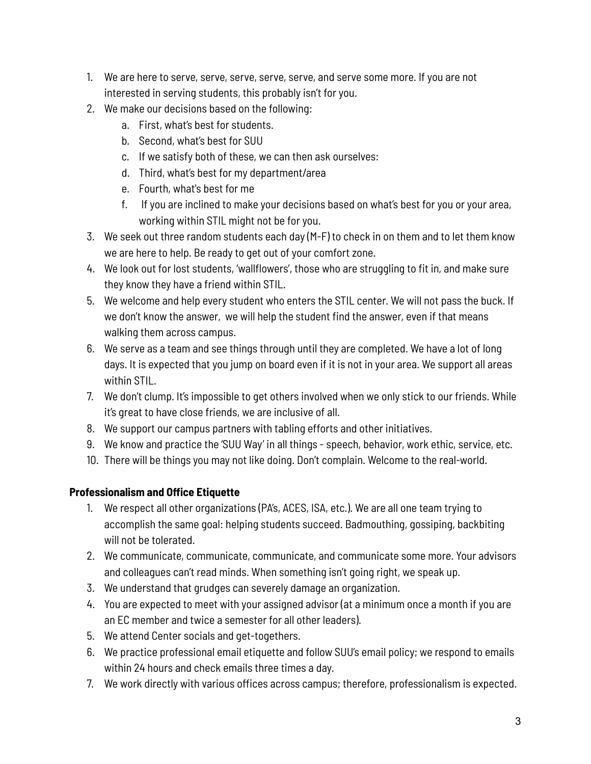- 1. We are here to serve, serve, serve, serve, serve, and serve some more. If you are not interested in serving students, this probably isn't for you.
- 2. We make our decisions based on the following:
	- a. First, what's best for students.
	- b. Second, what's best for SUU
	- c. If we satisfy both of these, we can then ask ourselves:
	- d. Third, what's best for my department/area
	- e. Fourth, what's best for me
	- f. If you are inclined to make your decisions based on what's best for you or your area, working within STIL might not be for you.
- 3. We seek out three random students each day (M-F) to check in on them and to let them know we are here to help. Be ready to get out of your comfort zone.
- 4. We look out for lost students, 'wallflowers', those who are struggling to fit in, and make sure they know they have a friend within STIL.
- 5. We welcome and help every student who enters the STIL center. We will not pass the buck. If we don't know the answer, we will help the student find the answer, even if that means walking them across campus.
- 6. We serve as a team and see things through until they are completed. We have a lot of long days. It is expected that you jump on board even if it is not in your area. We support all areas within STIL.
- 7. We don't clump. It's impossible to get others involved when we only stick to our friends. While it's great to have close friends, we are inclusive of all.
- 8. We support our campus partners with tabling efforts and other initiatives.
- 9. We know and practice the 'SUU Way' in all things speech, behavior, work ethic, service, etc.
- 10. There will be things you may not like doing. Don't complain. Welcome to the real-world.

### **Professionalism and Office Etiquette**

- 1. We respect all other organizations (PA's, ACES, ISA, etc.). We are all one team trying to accomplish the same goal: helping students succeed. Badmouthing, gossiping, backbiting will not be tolerated.
- 2. We communicate, communicate, communicate, and communicate some more. Your advisors and colleagues can't read minds. When something isn't going right, we speak up.
- 3. We understand that grudges can severely damage an organization.
- 4. You are expected to meet with your assigned advisor (at a minimum once a month if you are an EC member and twice a semester for all other leaders).
- 5. We attend Center socials and get-togethers.
- 6. We practice professional email etiquette and follow SUU's email policy; we respond to emails within 24 hours and check emails three times a day.
- 7. We work directly with various offices across campus; therefore, professionalism is expected.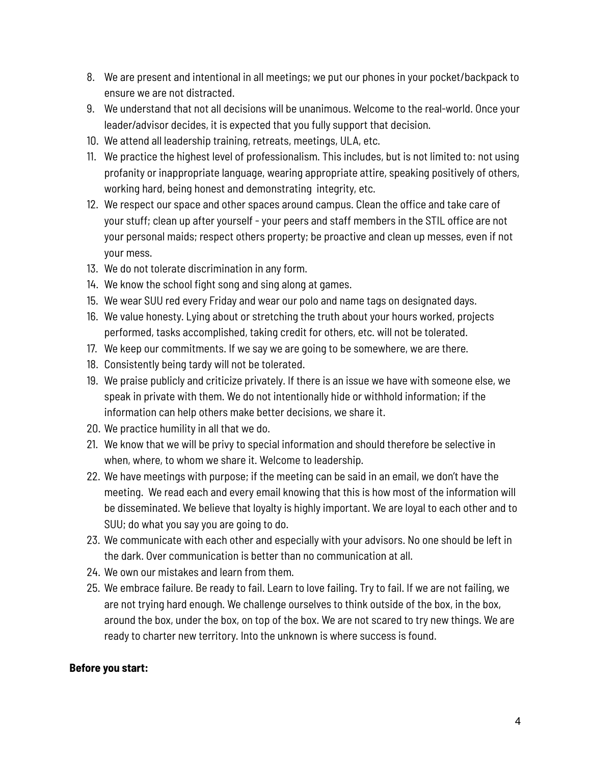- 8. We are present and intentional in all meetings; we put our phones in your pocket/backpack to ensure we are not distracted.
- 9. We understand that not all decisions will be unanimous. Welcome to the real-world. Once your leader/advisor decides, it is expected that you fully support that decision.
- 10. We attend all leadership training, retreats, meetings, ULA, etc.
- 11. We practice the highest level of professionalism. This includes, but is not limited to: not using profanity or inappropriate language, wearing appropriate attire, speaking positively of others, working hard, being honest and demonstrating integrity, etc.
- 12. We respect our space and other spaces around campus. Clean the office and take care of your stuff; clean up after yourself - your peers and staff members in the STIL office are not your personal maids; respect others property; be proactive and clean up messes, even if not your mess.
- 13. We do not tolerate discrimination in any form.
- 14. We know the school fight song and sing along at games.
- 15. We wear SUU red every Friday and wear our polo and name tags on designated days.
- 16. We value honesty. Lying about or stretching the truth about your hours worked, projects performed, tasks accomplished, taking credit for others, etc. will not be tolerated.
- 17. We keep our commitments. If we say we are going to be somewhere, we are there.
- 18. Consistently being tardy will not be tolerated.
- 19. We praise publicly and criticize privately. If there is an issue we have with someone else, we speak in private with them. We do not intentionally hide or withhold information; if the information can help others make better decisions, we share it.
- 20. We practice humility in all that we do.
- 21. We know that we will be privy to special information and should therefore be selective in when, where, to whom we share it. Welcome to leadership.
- 22. We have meetings with purpose; if the meeting can be said in an email, we don't have the meeting. We read each and every email knowing that this is how most of the information will be disseminated. We believe that loyalty is highly important. We are loyal to each other and to SUU; do what you say you are going to do.
- 23. We communicate with each other and especially with your advisors. No one should be left in the dark. Over communication is better than no communication at all.
- 24. We own our mistakes and learn from them.
- 25. We embrace failure. Be ready to fail. Learn to love failing. Try to fail. If we are not failing, we are not trying hard enough. We challenge ourselves to think outside of the box, in the box, around the box, under the box, on top of the box. We are not scared to try new things. We are ready to charter new territory. Into the unknown is where success is found.

#### **Before you start:**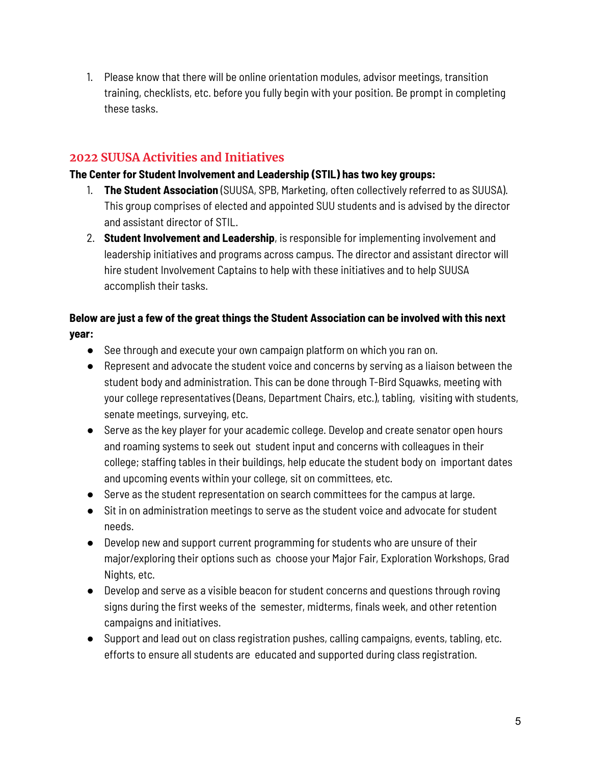1. Please know that there will be online orientation modules, advisor meetings, transition training, checklists, etc. before you fully begin with your position. Be prompt in completing these tasks.

## **2022 SUUSA Activities and Initiatives**

#### **The Center for Student Involvement and Leadership (STIL) has two key groups:**

- 1. **The Student Association** (SUUSA, SPB, Marketing, often collectively referred to as SUUSA). This group comprises of elected and appointed SUU students and is advised by the director and assistant director of STIL.
- 2. **Student Involvement and Leadership**, is responsible for implementing involvement and leadership initiatives and programs across campus. The director and assistant director will hire student Involvement Captains to help with these initiatives and to help SUUSA accomplish their tasks.

### **Below are just a few of the great things the Student Association can be involved with this next year:**

- See through and execute your own campaign platform on which you ran on.
- Represent and advocate the student voice and concerns by serving as a liaison between the student body and administration. This can be done through T-Bird Squawks, meeting with your college representatives (Deans, Department Chairs, etc.), tabling, visiting with students, senate meetings, surveying, etc.
- Serve as the key player for your academic college. Develop and create senator open hours and roaming systems to seek out student input and concerns with colleagues in their college; staffing tables in their buildings, help educate the student body on important dates and upcoming events within your college, sit on committees, etc.
- Serve as the student representation on search committees for the campus at large.
- Sit in on administration meetings to serve as the student voice and advocate for student needs.
- Develop new and support current programming for students who are unsure of their major/exploring their options such as choose your Major Fair, Exploration Workshops, Grad Nights, etc.
- Develop and serve as a visible beacon for student concerns and questions through roving signs during the first weeks of the semester, midterms, finals week, and other retention campaigns and initiatives.
- Support and lead out on class registration pushes, calling campaigns, events, tabling, etc. efforts to ensure all students are educated and supported during class registration.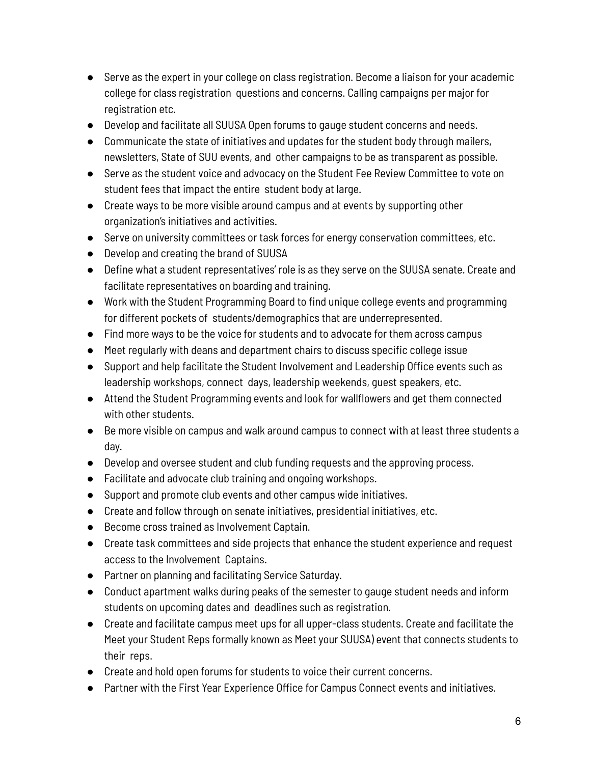- Serve as the expert in your college on class registration. Become a liaison for your academic college for class registration questions and concerns. Calling campaigns per major for registration etc.
- Develop and facilitate all SUUSA Open forums to gauge student concerns and needs.
- Communicate the state of initiatives and updates for the student body through mailers, newsletters, State of SUU events, and other campaigns to be as transparent as possible.
- Serve as the student voice and advocacy on the Student Fee Review Committee to vote on student fees that impact the entire student body at large.
- Create ways to be more visible around campus and at events by supporting other organization's initiatives and activities.
- Serve on university committees or task forces for energy conservation committees, etc.
- Develop and creating the brand of SUUSA
- Define what a student representatives' role is as they serve on the SUUSA senate. Create and facilitate representatives on boarding and training.
- Work with the Student Programming Board to find unique college events and programming for different pockets of students/demographics that are underrepresented.
- Find more ways to be the voice for students and to advocate for them across campus
- Meet regularly with deans and department chairs to discuss specific college issue
- Support and help facilitate the Student Involvement and Leadership Office events such as leadership workshops, connect days, leadership weekends, guest speakers, etc.
- Attend the Student Programming events and look for wallflowers and get them connected with other students.
- Be more visible on campus and walk around campus to connect with at least three students a day.
- Develop and oversee student and club funding requests and the approving process.
- Facilitate and advocate club training and ongoing workshops.
- Support and promote club events and other campus wide initiatives.
- Create and follow through on senate initiatives, presidential initiatives, etc.
- Become cross trained as Involvement Captain.
- Create task committees and side projects that enhance the student experience and request access to the Involvement Captains.
- Partner on planning and facilitating Service Saturday.
- Conduct apartment walks during peaks of the semester to gauge student needs and inform students on upcoming dates and deadlines such as registration.
- Create and facilitate campus meet ups for all upper-class students. Create and facilitate the Meet your Student Reps formally known as Meet your SUUSA) event that connects students to their reps.
- Create and hold open forums for students to voice their current concerns.
- Partner with the First Year Experience Office for Campus Connect events and initiatives.